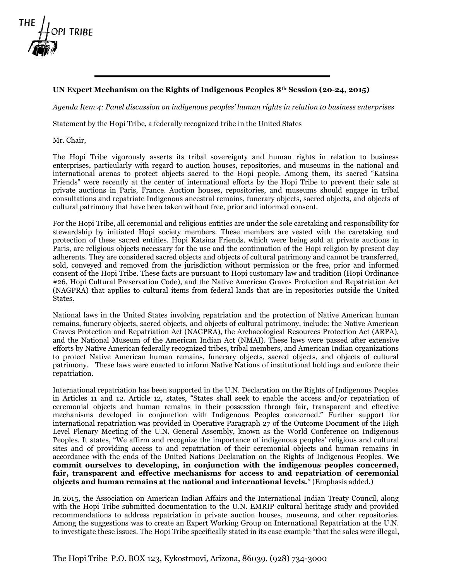

## **UN Expert Mechanism on the Rights of Indigenous Peoples 8th Session (20-24, 2015)**

*Agenda Item 4: Panel discussion on indigenous peoples' human rights in relation to business enterprises*

Statement by the Hopi Tribe, a federally recognized tribe in the United States

Mr. Chair,

The Hopi Tribe vigorously asserts its tribal sovereignty and human rights in relation to business enterprises, particularly with regard to auction houses, repositories, and museums in the national and international arenas to protect objects sacred to the Hopi people. Among them, its sacred "Katsina Friends" were recently at the center of international efforts by the Hopi Tribe to prevent their sale at private auctions in Paris, France. Auction houses, repositories, and museums should engage in tribal consultations and repatriate Indigenous ancestral remains, funerary objects, sacred objects, and objects of cultural patrimony that have been taken without free, prior and informed consent.

For the Hopi Tribe, all ceremonial and religious entities are under the sole caretaking and responsibility for stewardship by initiated Hopi society members. These members are vested with the caretaking and protection of these sacred entities. Hopi Katsina Friends, which were being sold at private auctions in Paris, are religious objects necessary for the use and the continuation of the Hopi religion by present day adherents. They are considered sacred objects and objects of cultural patrimony and cannot be transferred, sold, conveyed and removed from the jurisdiction without permission or the free, prior and informed consent of the Hopi Tribe. These facts are pursuant to Hopi customary law and tradition (Hopi Ordinance #26, Hopi Cultural Preservation Code), and the Native American Graves Protection and Repatriation Act (NAGPRA) that applies to cultural items from federal lands that are in repositories outside the United States.

National laws in the United States involving repatriation and the protection of Native American human remains, funerary objects, sacred objects, and objects of cultural patrimony, include: the Native American Graves Protection and Repatriation Act (NAGPRA), the Archaeological Resources Protection Act (ARPA), and the National Museum of the American Indian Act (NMAI). These laws were passed after extensive efforts by Native American federally recognized tribes, tribal members, and American Indian organizations to protect Native American human remains, funerary objects, sacred objects, and objects of cultural patrimony. These laws were enacted to inform Native Nations of institutional holdings and enforce their repatriation.

International repatriation has been supported in the U.N. Declaration on the Rights of Indigenous Peoples in Articles 11 and 12. Article 12, states, "States shall seek to enable the access and/or repatriation of ceremonial objects and human remains in their possession through fair, transparent and effective mechanisms developed in conjunction with Indigenous Peoples concerned." Further support for international repatriation was provided in Operative Paragraph 27 of the Outcome Document of the High Level Plenary Meeting of the U.N. General Assembly, known as the World Conference on Indigenous Peoples. It states, "We affirm and recognize the importance of indigenous peoples' religious and cultural sites and of providing access to and repatriation of their ceremonial objects and human remains in accordance with the ends of the United Nations Declaration on the Rights of Indigenous Peoples. **We commit ourselves to developing, in conjunction with the indigenous peoples concerned, fair, transparent and effective mechanisms for access to and repatriation of ceremonial objects and human remains at the national and international levels.**" (Emphasis added.)

In 2015, the Association on American Indian Affairs and the International Indian Treaty Council, along with the Hopi Tribe submitted documentation to the U.N. EMRIP cultural heritage study and provided recommendations to address repatriation in private auction houses, museums, and other repositories. Among the suggestions was to create an Expert Working Group on International Repatriation at the U.N. to investigate these issues. The Hopi Tribe specifically stated in its case example "that the sales were illegal,